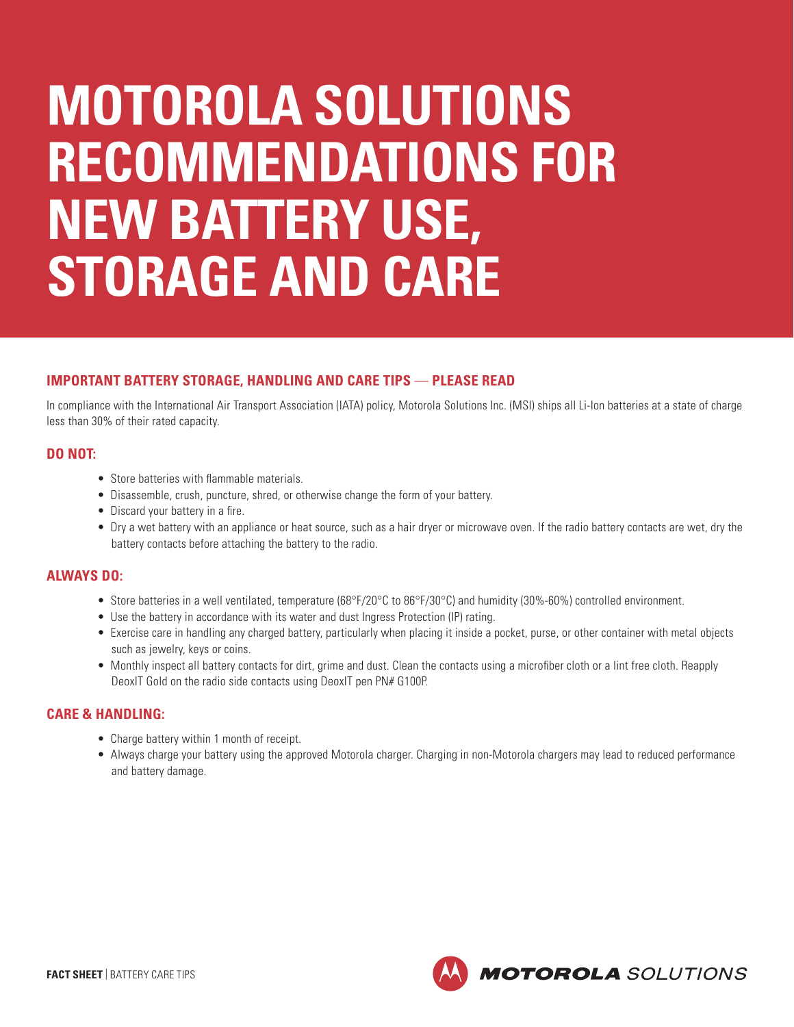# **MOTOROLA SOLUTIONS RECOMMENDATIONS FOR NEW BATTERY USE, STORAGE AND CARE**

# **IMPORTANT BATTERY STORAGE, HANDLING AND CARE TIPS** — **PLEASE READ**

In compliance with the International Air Transport Association (IATA) policy, Motorola Solutions Inc. (MSI) ships all Li-Ion batteries at a state of charge less than 30% of their rated capacity.

### **DO NOT:**

- Store batteries with flammable materials.
- Disassemble, crush, puncture, shred, or otherwise change the form of your battery.
- Discard your battery in a fire.
- Dry a wet battery with an appliance or heat source, such as a hair dryer or microwave oven. If the radio battery contacts are wet, dry the battery contacts before attaching the battery to the radio.

### **ALWAYS DO:**

- Store batteries in a well ventilated, temperature (68°F/20°C to 86°F/30°C) and humidity (30%-60%) controlled environment.
- Use the battery in accordance with its water and dust Ingress Protection (IP) rating.
- Exercise care in handling any charged battery, particularly when placing it inside a pocket, purse, or other container with metal objects such as jewelry, keys or coins.
- Monthly inspect all battery contacts for dirt, grime and dust. Clean the contacts using a microfiber cloth or a lint free cloth. Reapply DeoxIT Gold on the radio side contacts using DeoxIT pen PN# G100P.

# **CARE & HANDLING:**

- Charge battery within 1 month of receipt.
- Always charge your battery using the approved Motorola charger. Charging in non-Motorola chargers may lead to reduced performance and battery damage.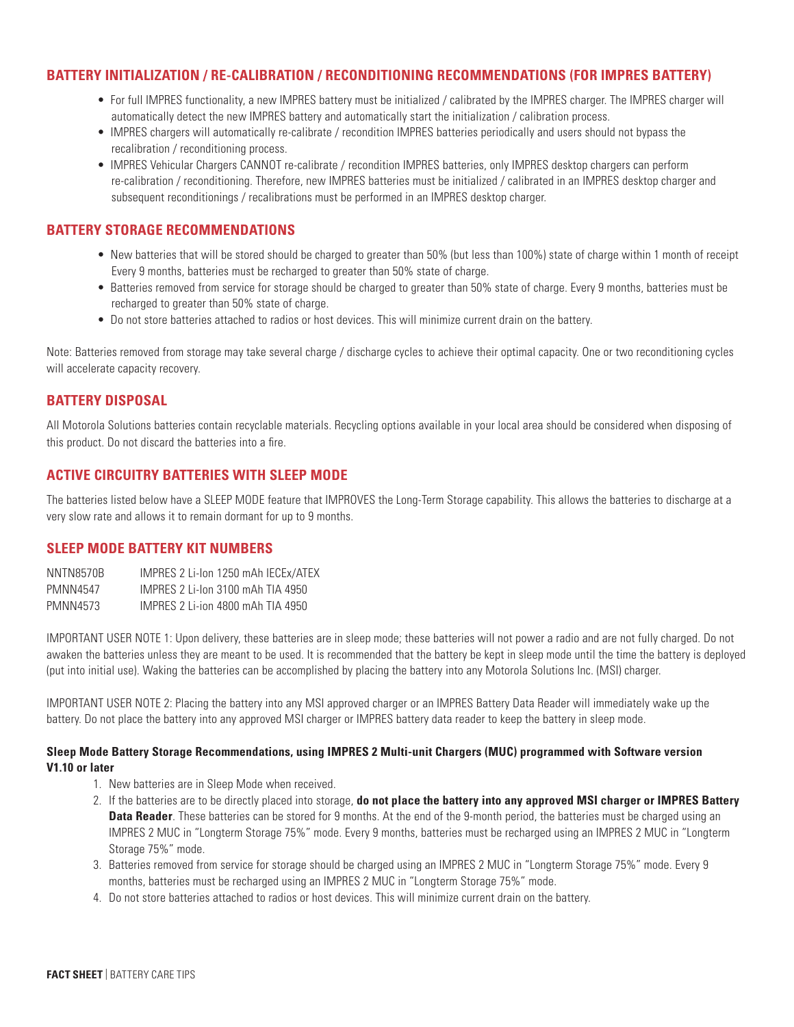## **BATTERY INITIALIZATION / RE-CALIBRATION / RECONDITIONING RECOMMENDATIONS (FOR IMPRES BATTERY)**

- For full IMPRES functionality, a new IMPRES battery must be initialized / calibrated by the IMPRES charger. The IMPRES charger will automatically detect the new IMPRES battery and automatically start the initialization / calibration process.
- IMPRES chargers will automatically re-calibrate / recondition IMPRES batteries periodically and users should not bypass the recalibration / reconditioning process.
- IMPRES Vehicular Chargers CANNOT re-calibrate / recondition IMPRES batteries, only IMPRES desktop chargers can perform re-calibration / reconditioning. Therefore, new IMPRES batteries must be initialized / calibrated in an IMPRES desktop charger and subsequent reconditionings / recalibrations must be performed in an IMPRES desktop charger.

# **BATTERY STORAGE RECOMMENDATIONS**

- New batteries that will be stored should be charged to greater than 50% (but less than 100%) state of charge within 1 month of receipt Every 9 months, batteries must be recharged to greater than 50% state of charge.
- Batteries removed from service for storage should be charged to greater than 50% state of charge. Every 9 months, batteries must be recharged to greater than 50% state of charge.
- Do not store batteries attached to radios or host devices. This will minimize current drain on the battery.

Note: Batteries removed from storage may take several charge / discharge cycles to achieve their optimal capacity. One or two reconditioning cycles will accelerate capacity recovery.

### **BATTERY DISPOSAL**

All Motorola Solutions batteries contain recyclable materials. Recycling options available in your local area should be considered when disposing of this product. Do not discard the batteries into a fire.

# **ACTIVE CIRCUITRY BATTERIES WITH SLEEP MODE**

The batteries listed below have a SLEEP MODE feature that IMPROVES the Long-Term Storage capability. This allows the batteries to discharge at a very slow rate and allows it to remain dormant for up to 9 months.

### **SLEEP MODE BATTERY KIT NUMBERS**

NNTN8570B IMPRES 2 Li-Ion 1250 mAh IECEx/ATEX PMNN4547 IMPRES 2 Li-Ion 3100 mAh TIA 4950 PMNN4573 IMPRES 2 Li-ion 4800 mAh TIA 4950

IMPORTANT USER NOTE 1: Upon delivery, these batteries are in sleep mode; these batteries will not power a radio and are not fully charged. Do not awaken the batteries unless they are meant to be used. It is recommended that the battery be kept in sleep mode until the time the battery is deployed (put into initial use). Waking the batteries can be accomplished by placing the battery into any Motorola Solutions Inc. (MSI) charger.

IMPORTANT USER NOTE 2: Placing the battery into any MSI approved charger or an IMPRES Battery Data Reader will immediately wake up the battery. Do not place the battery into any approved MSI charger or IMPRES battery data reader to keep the battery in sleep mode.

#### **Sleep Mode Battery Storage Recommendations, using IMPRES 2 Multi-unit Chargers (MUC) programmed with Software version V1.10 or later**

- 1. New batteries are in Sleep Mode when received.
- 2. If the batteries are to be directly placed into storage, **do not place the battery into any approved MSI charger or IMPRES Battery Data Reader**. These batteries can be stored for 9 months. At the end of the 9-month period, the batteries must be charged using an IMPRES 2 MUC in "Longterm Storage 75%" mode. Every 9 months, batteries must be recharged using an IMPRES 2 MUC in "Longterm Storage 75%" mode.
- 3. Batteries removed from service for storage should be charged using an IMPRES 2 MUC in "Longterm Storage 75%" mode. Every 9 months, batteries must be recharged using an IMPRES 2 MUC in "Longterm Storage 75%" mode.
- 4. Do not store batteries attached to radios or host devices. This will minimize current drain on the battery.